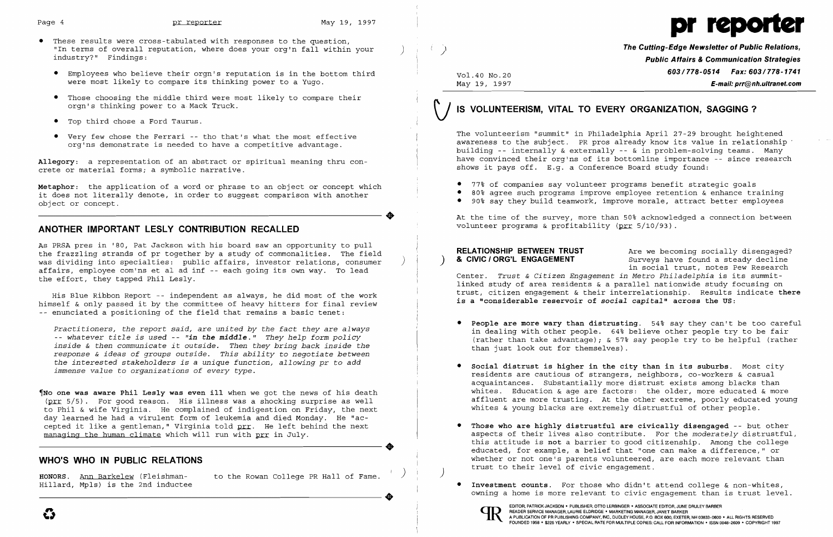

**Public Affairs & Communication Strategies** E-mail: prr@nh.ultranet.com

 $\bullet$  90% say they build teamwork, improve morale, attract better employees

• **People are more wary than distrusting**. 54% say they can't be too careful in dealing with other people. 64% believe other people try to be fair

- • These results were cross-tabulated with responses to the question, "In terms of overall reputation, where does your org'n fall within your ) ( ) **The Cutting-Edge Newsletter of Public Relations,**<br>industry?" Findings: **Public Relation,** where does your org'n fall within your ) ( ) **Dublic** 
	- Employees who believe their orgn's reputation is in the bottom third **603/778-0514 Fax: 603/778-0514 Fax: 603/778-1741**<br>Were most likely to compare its thinking power to a Yugo. May 19, 1997 May 19, 1997 **E-mail: prr@nh** were most likely to compare its thinking power to a Yugo.
	- • Those choosing the middle third were most likely to compare their orgn's thinking power to a Mack Truck.
	- • Top third chose a Ford Taurus.
	-

**Metaphor**: the application of a word or phrase to an object or concept which **•** 77% of companies say volunteer programs benefit strategic goals<br>it does not literally denote, in order to suqqest comparison with another • it does not literally denote, in order to suggest comparison with another • 80% agree such programs improve employee retention & enhance training<br>• 90% say they build teamwork, improve morale, attract better employees

# **\) IS VOLUNTEERISM, VITAL TO EVERY ORGANIZATION, SAGGING?**

● Very few chose the Ferrari -- tho that's what the most effective The volunteerism "summit" in Philadelphia April 27-29 brought heightened<br>• org'ns demonstrate is needed to have a competitive advantage. building -- internally & externally -- & in problem-solving teams. Many Allegory: a representation of an abstract or spiritual meaning thru con- **have convinced their org'ns of its bottomline importance -- since research**<br>crete or material forms; a symbolic narrative. shows it pays off. E.g. a Conference Board study found:

- 
- 
- 

At the time of the survey, more than 50% acknowledged a connection between volunteer programs & profitability ( $prr 5/10/93$ ).

linked study of area residents & a parallel nationwide study focusing on His Blue Ribbon Report -- independent as always, he did most of the work trust, citizen engagement & their interrelationship. Results indicate there His Blue Ribbon Report -- independent as always, he did most of the work

### volunteer programs & profitability (prr 5/10/93) . **ANOTHER IMPORTANT LESLY CONTRIBUTION RECALLED**

As PRSA pres in '80, Pat Jackson with his board saw an opportunity to pull **RELATIONSHIP BETWEEN TRUST** are we becoming socially disengaged?<br>The frazzling strands of pr together by a study of commonalities. The field (and was dividing into specialties: public affairs, investor relations, consumer  $\qquad$  **& CIVIC** *I* **ORG'L ENGAGEMENT** Surveys have found a steady decline and interest of the contract of the contract of the contract of the contr affairs, employee com'ns et al ad inf -- each going its own way. To lead and the search combination of the effort, they tapped Philadelphia is its summit-<br>Trust & Citizen Engagement in Metro Philadelphia is its summit-

himself & only passed it by the committee of heavy hitters for final review -- enunciated a positioning of the field that remains a basic tenet:

Practitioners, the report said, are united by the fact they are always<br>-- whatever title is used -- "in the middle." They help form policy<br>in dealing with other people. 64% believe other people try to be fair<br>inside & the response & ideas of groups outside. This ability to negotiate between<br>the interested stakeholders is a unique function, allowing pr to add<br>immense value to organizations of every type.<br>residents are cautious of strangers,

 $\P$ No one was aware Phil Lesly was even ill when we got the news of his death (prr 5/5). For good reason. His illness was a shocking surprise as well to Phil & wife Virginia. He complained of indigestion on Friday, the next day learned he had a virulent form of leukemia and died Monday. He "accepted it like a gentleman," Virginia told prr. He left behind the next managing the human climate which will run with prr in July. example is this attitude is not a barrier to good citizenship. Among the college educated, for example, a belief that "one can make a difference," or example, a belief that "one can make a difference," or example, a belief

acquaintances. Substantially more distrust exists among blacks than<br>whites. Education & age are factors: the older, more educated & more affluent are more trusting. At the other extreme, poorly educated young

 • **Those who are highly distrustful are civically disengaged** -- but other aspects of their lives also contribute. For the *moderately* distrustful, **WHO'S WHO IN PUBLIC RELATIONS** and the sample of the sequented, for example, a belief that "one can make a difference," or whether or not one's parents volunteered, are each more relevant than

> **• Investment counts.** For those who didn't attend college & non-whites, owning a home is more relevant to civic engagement than is trust level.

trust their component of the Postal College PR Hall of Fame. (And Strust to their level of civic engagement.<br> Honors. <u>Ann Barkelew</u> (Fleishman-hot the Rowan College PR Hall of Fame. (Anno 2012) trust to their level of civ ----------------------+

- 
- whites & young blacks are extremely distrustful of other people.
- 
- 



READER SERVICE MANAGER, LAURIE ELDRIDGE · MARKETING MANAGER, JANET BARKER